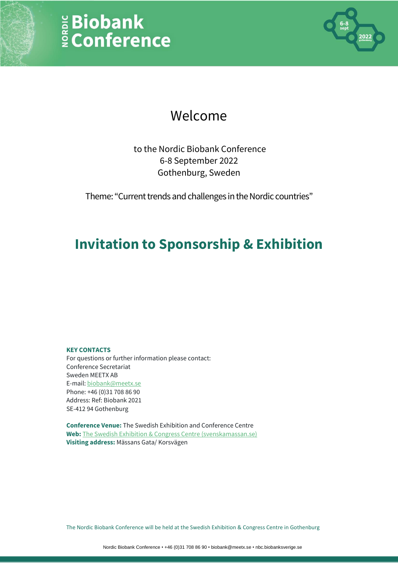# E Biobank<br>E Conference



### Welcome

to the Nordic Biobank Conference 6-8 September 2022 Gothenburg, Sweden

Theme: "Current trends and challenges in the Nordic countries"

### **Invitation to Sponsorship & Exhibition**

#### **KEY CONTACTS**

For questions or further information please contact: Conference Secretariat Sweden MEETX AB E-mail: [biobank@meetx.se](mailto:biobank@meetx.se) Phone: +46 (0)31 708 86 90 Address: Ref: Biobank 2021 SE-412 94 Gothenburg

**Conference Venue:** The Swedish Exhibition and Conference Centre **Web:** [The Swedish Exhibition & Congress Centre](https://en.svenskamassan.se/) (svenskamassan.se) **Visiting address:** Mässans Gata/ Korsvägen

The Nordic Biobank Conference will be held at the Swedish Exhibition & Congress Centre in Gothenburg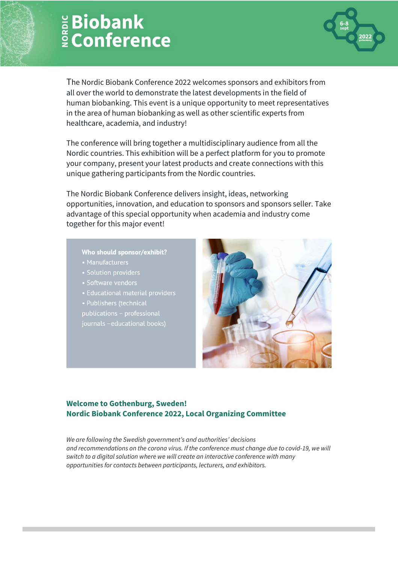

The Nordic Biobank Conference 2022 welcomes sponsors and exhibitors from all over the world to demonstrate the latest developments in the field of human biobanking. This event is a unique opportunity to meet representatives in the area of human biobanking as well as other scientific experts from healthcare, academia, and industry!

The conference will bring together a multidisciplinary audience from all the Nordic countries. This exhibition will be a perfect platform for you to promote your company, present your latest products and create connections with this unique gathering participants from the Nordic countries.

The Nordic Biobank Conference delivers insight, ideas, networking opportunities, innovation, and education to sponsors and sponsors seller. Take advantage of this special opportunity when academia and industry come together for this major event!

#### Who should sponsor/exhibit?

- Manufacturers
- Solution providers
- Software vendors
- 
- Publishers (technical

publications - professional journals - educational books)



#### **Welcome to Gothenburg, Sweden! Nordic Biobank Conference 2022, Local Organizing Committee**

*We are following the Swedish government's and authorities' decisions and recommendations on the corona virus. If the conference must change due to covid-19, we will switch to a digital solution where we will create an interactive conference with many opportunities for contacts between participants, lecturers, and exhibitors.*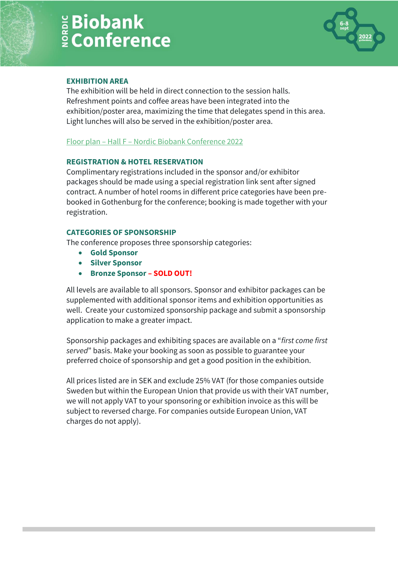

#### **EXHIBITION AREA**

The exhibition will be held in direct connection to the session halls. Refreshment points and coffee areas have been integrated into the exhibition/poster area, maximizing the time that delegates spend in this area. Light lunches will also be served in the exhibition/poster area.

#### Floor plan – Hall F – [Nordic Biobank Conference 2022](https://biobanksverige.se/wp-content/uploads/44974-nordic-biobank-conference-8-10-march-2022-f-expo-model.pdf)

#### **REGISTRATION & HOTEL RESERVATION**

Complimentary registrations included in the sponsor and/or exhibitor packages should be made using a special registration link sent after signed contract. A number of hotel rooms in different price categories have been prebooked in Gothenburg for the conference; booking is made together with your registration.

#### **CATEGORIES OF SPONSORSHIP**

The conference proposes three sponsorship categories:

- **Gold Sponsor**
- **Silver Sponsor**
- **Bronze Sponsor – SOLD OUT!**

All levels are available to all sponsors. Sponsor and exhibitor packages can be supplemented with additional sponsor items and exhibition opportunities as well. Create your customized sponsorship package and submit a sponsorship application to make a greater impact.

Sponsorship packages and exhibiting spaces are available on a "*first come first served*" basis. Make your booking as soon as possible to guarantee your preferred choice of sponsorship and get a good position in the exhibition.

All prices listed are in SEK and exclude 25% VAT (for those companies outside Sweden but within the European Union that provide us with their VAT number, we will not apply VAT to your sponsoring or exhibition invoice as this will be subject to reversed charge. For companies outside European Union, VAT charges do not apply).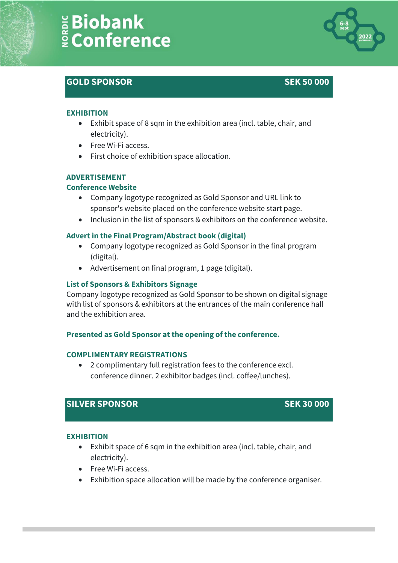### **GOLD SPONSOR SEK 50 000**



#### **EXHIBITION**

- Exhibit space of 8 sqm in the exhibition area (incl. table, chair, and electricity).
- Free Wi-Fi access.
- First choice of exhibition space allocation.

#### **ADVERTISEMENT**

#### **Conference Website**

- Company logotype recognized as Gold Sponsor and URL link to sponsor's website placed on the conference website start page.
- Inclusion in the list of sponsors & exhibitors on the conference website.

#### **Advert in the Final Program/Abstract book (digital)**

- Company logotype recognized as Gold Sponsor in the final program (digital).
- Advertisement on final program, 1 page (digital).

#### **List of Sponsors & Exhibitors Signage**

Company logotype recognized as Gold Sponsor to be shown on digital signage with list of sponsors & exhibitors at the entrances of the main conference hall and the exhibition area.

#### **Presented as Gold Sponsor at the opening of the conference.**

#### **COMPLIMENTARY REGISTRATIONS**

• 2 complimentary full registration fees to the conference excl. conference dinner. 2 exhibitor badges (incl. coffee/lunches).

### **SILVER SPONSOR SEK 30 000**

#### **EXHIBITION**

- Exhibit space of 6 sqm in the exhibition area (incl. table, chair, and electricity).
- Free Wi-Fi access.
- Exhibition space allocation will be made by the conference organiser.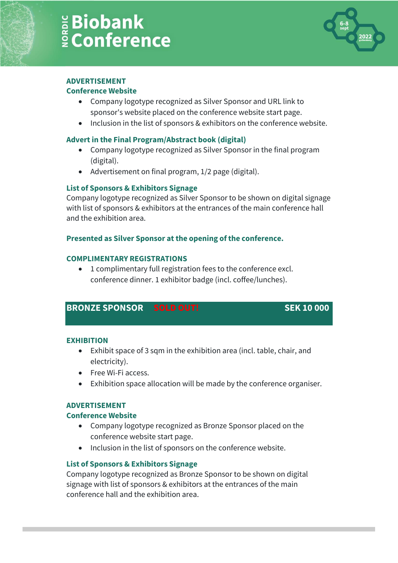

#### **ADVERTISEMENT**

#### **Conference Website**

- Company logotype recognized as Silver Sponsor and URL link to sponsor's website placed on the conference website start page.
- Inclusion in the list of sponsors & exhibitors on the conference website.

#### **Advert in the Final Program/Abstract book (digital)**

- Company logotype recognized as Silver Sponsor in the final program (digital).
- Advertisement on final program, 1/2 page (digital).

#### **List of Sponsors & Exhibitors Signage**

Company logotype recognized as Silver Sponsor to be shown on digital signage with list of sponsors & exhibitors at the entrances of the main conference hall and the exhibition area.

#### **Presented as Silver Sponsor at the opening of the conference.**

#### **COMPLIMENTARY REGISTRATIONS**

• 1 complimentary full registration fees to the conference excl. conference dinner. 1 exhibitor badge (incl. coffee/lunches).

#### **BRONZE SPONSOR SOLD OUT! SEK 10 000**

#### **EXHIBITION**

- Exhibit space of 3 sqm in the exhibition area (incl. table, chair, and electricity).
- Free Wi-Fi access.
- Exhibition space allocation will be made by the conference organiser.

#### **ADVERTISEMENT**

#### **Conference Website**

- Company logotype recognized as Bronze Sponsor placed on the conference website start page.
- Inclusion in the list of sponsors on the conference website.

#### **List of Sponsors & Exhibitors Signage**

Company logotype recognized as Bronze Sponsor to be shown on digital signage with list of sponsors & exhibitors at the entrances of the main conference hall and the exhibition area.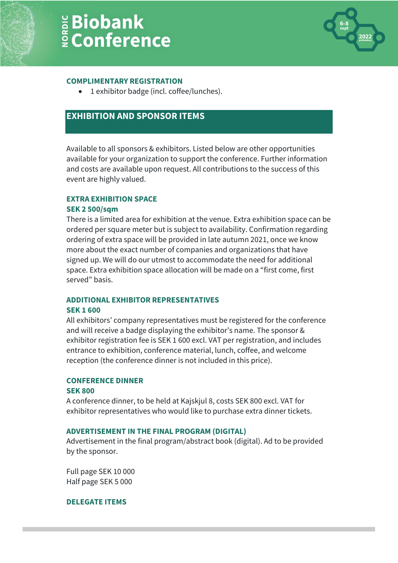#### **COMPLIMENTARY REGISTRATION**

• 1 exhibitor badge (incl. coffee/lunches).

### **EXHIBITION AND SPONSOR ITEMS**

Available to all sponsors & exhibitors. Listed below are other opportunities available for your organization to support the conference. Further information and costs are available upon request. All contributions to the success of this event are highly valued.

#### **EXTRA EXHIBITION SPACE**

#### **SEK 2 500/sqm**

There is a limited area for exhibition at the venue. Extra exhibition space can be ordered per square meter but is subject to availability. Confirmation regarding ordering of extra space will be provided in late autumn 2021, once we know more about the exact number of companies and organizations that have signed up. We will do our utmost to accommodate the need for additional space. Extra exhibition space allocation will be made on a "first come, first served" basis.

#### **ADDITIONAL EXHIBITOR REPRESENTATIVES**

#### **SEK 1 600**

All exhibitors' company representatives must be registered for the conference and will receive a badge displaying the exhibitor's name. The sponsor & exhibitor registration fee is SEK 1 600 excl. VAT per registration, and includes entrance to exhibition, conference material, lunch, coffee, and welcome reception (the conference dinner is not included in this price).

#### **CONFERENCE DINNER**

#### **SEK 800**

A conference dinner, to be held at Kajskjul 8, costs SEK 800 excl. VAT for exhibitor representatives who would like to purchase extra dinner tickets.

#### **ADVERTISEMENT IN THE FINAL PROGRAM (DIGITAL)**

Advertisement in the final program/abstract book (digital). Ad to be provided by the sponsor.

Full page SEK 10 000 Half page SEK 5 000

#### **DELEGATE ITEMS**